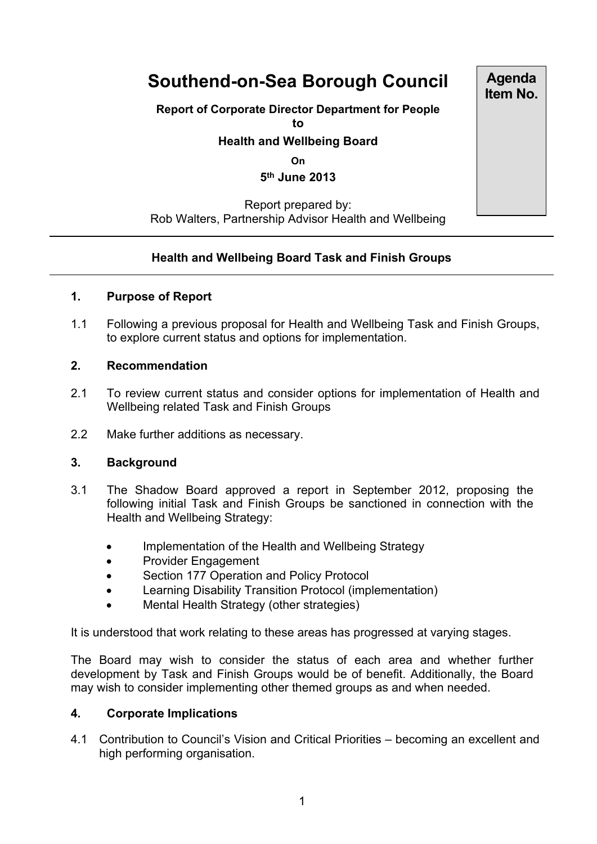# **Southend-on-Sea Borough Council**

## **Report of Corporate Director Department for People**

**to**

#### **Health and Wellbeing Board**

**On**

**5 th June 2013**

Report prepared by: Rob Walters, Partnership Advisor Health and Wellbeing

### **Health and Wellbeing Board Task and Finish Groups**

#### **1. Purpose of Report**

1.1 Following a previous proposal for Health and Wellbeing Task and Finish Groups, to explore current status and options for implementation.

#### **2. Recommendation**

- 2.1 To review current status and consider options for implementation of Health and Wellbeing related Task and Finish Groups
- 2.2 Make further additions as necessary.

#### **3. Background**

- 3.1 The Shadow Board approved a report in September 2012, proposing the following initial Task and Finish Groups be sanctioned in connection with the Health and Wellbeing Strategy:
	- Implementation of the Health and Wellbeing Strategy
	- Provider Engagement
	- Section 177 Operation and Policy Protocol
	- Learning Disability Transition Protocol (implementation)
	- Mental Health Strategy (other strategies)

It is understood that work relating to these areas has progressed at varying stages.

The Board may wish to consider the status of each area and whether further development by Task and Finish Groups would be of benefit. Additionally, the Board may wish to consider implementing other themed groups as and when needed.

#### **4. Corporate Implications**

4.1 Contribution to Council's Vision and Critical Priorities – becoming an excellent and high performing organisation.

**Agenda Item No.**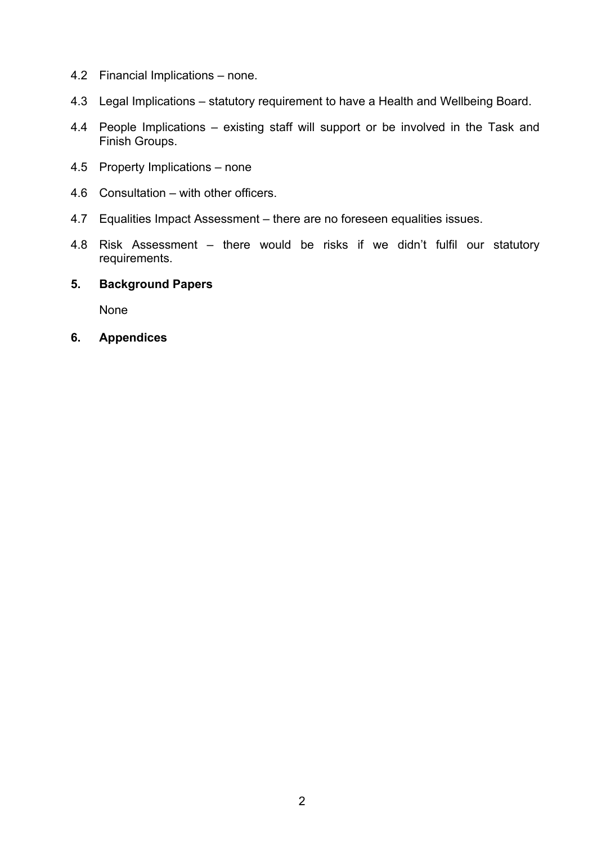- 4.2 Financial Implications none.
- 4.3 Legal Implications statutory requirement to have a Health and Wellbeing Board.
- 4.4 People Implications existing staff will support or be involved in the Task and Finish Groups.
- 4.5 Property Implications none
- 4.6 Consultation with other officers.
- 4.7 Equalities Impact Assessment there are no foreseen equalities issues.
- 4.8 Risk Assessment there would be risks if we didn't fulfil our statutory requirements.

#### **5. Background Papers**

None

**6. Appendices**